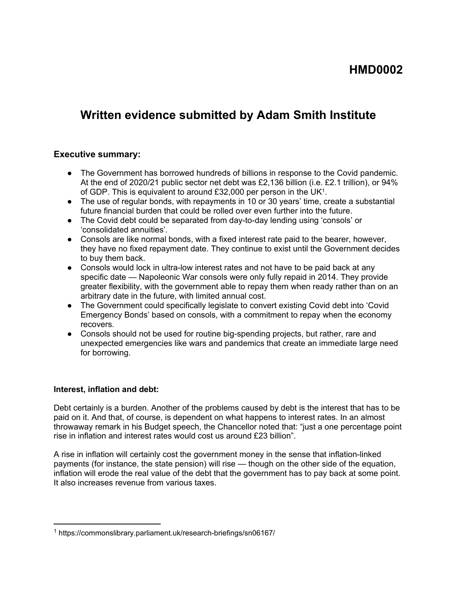## **HMD0002**

# **Written evidence submitted by Adam Smith Institute**

#### **Executive summary:**

- The Government has borrowed hundreds of billions in response to the Covid pandemic. At the end of 2020/21 public sector net debt was £2,136 billion (i.e. £2.1 trillion), or 94% of GDP. This is equivalent to around £32,000 per person in the UK<sup>1</sup>.
- The use of regular bonds, with repayments in 10 or 30 years' time, create a substantial future financial burden that could be rolled over even further into the future.
- The Covid debt could be separated from day-to-day lending using 'consols' or 'consolidated annuities'.
- Consols are like normal bonds, with a fixed interest rate paid to the bearer, however, they have no fixed repayment date. They continue to exist until the Government decides to buy them back.
- Consols would lock in ultra-low interest rates and not have to be paid back at any specific date — Napoleonic War consols were only fully repaid in 2014. They provide greater flexibility, with the government able to repay them when ready rather than on an arbitrary date in the future, with limited annual cost.
- The Government could specifically legislate to convert existing Covid debt into 'Covid Emergency Bonds' based on consols, with a commitment to repay when the economy recovers.
- Consols should not be used for routine big-spending projects, but rather, rare and unexpected emergencies like wars and pandemics that create an immediate large need for borrowing.

#### **Interest, inflation and debt:**

Debt certainly is a burden. Another of the problems caused by debt is the interest that has to be paid on it. And that, of course, is dependent on what happens to interest rates. In an almost throwaway remark in his Budget speech, the Chancellor noted that: "just a one percentage point rise in inflation and interest rates would cost us around £23 billion".

A rise in inflation will certainly cost the government money in the sense that inflation-linked payments (for instance, the state pension) will rise — though on the other side of the equation, inflation will erode the real value of the debt that the government has to pay back at some point. It also increases revenue from various taxes.

<sup>1</sup> https://commonslibrary.parliament.uk/research-briefings/sn06167/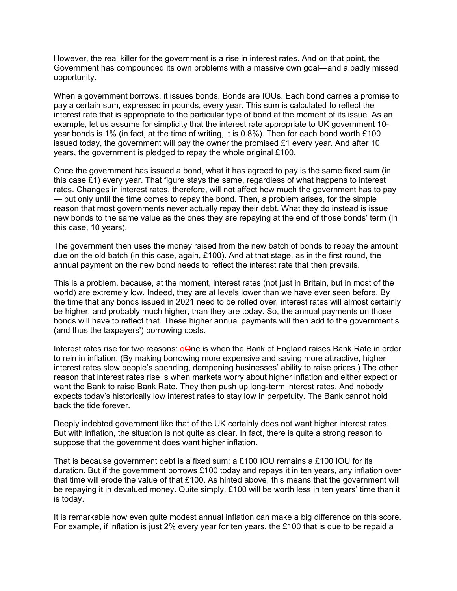However, the real killer for the government is a rise in interest rates. And on that point, the Government has compounded its own problems with a massive own goal—and a badly missed opportunity.

When a government borrows, it issues bonds. Bonds are IOUs. Each bond carries a promise to pay a certain sum, expressed in pounds, every year. This sum is calculated to reflect the interest rate that is appropriate to the particular type of bond at the moment of its issue. As an example, let us assume for simplicity that the interest rate appropriate to UK government 10 year bonds is 1% (in fact, at the time of writing, it is 0.8%). Then for each bond worth £100 issued today, the government will pay the owner the promised  $£1$  every year. And after 10 years, the government is pledged to repay the whole original £100.

Once the government has issued a bond, what it has agreed to pay is the same fixed sum (in this case  $£1$ ) every year. That figure stays the same, regardless of what happens to interest rates. Changes in interest rates, therefore, will not affect how much the government has to pay — but only until the time comes to repay the bond. Then, a problem arises, for the simple reason that most governments never actually repay their debt. What they do instead is issue new bonds to the same value as the ones they are repaying at the end of those bonds' term (in this case, 10 years).

The government then uses the money raised from the new batch of bonds to repay the amount due on the old batch (in this case, again, £100). And at that stage, as in the first round, the annual payment on the new bond needs to reflect the interest rate that then prevails.

This is a problem, because, at the moment, interest rates (not just in Britain, but in most of the world) are extremely low. Indeed, they are at levels lower than we have ever seen before. By the time that any bonds issued in 2021 need to be rolled over, interest rates will almost certainly be higher, and probably much higher, than they are today. So, the annual payments on those bonds will have to reflect that. These higher annual payments will then add to the government's (and thus the taxpayers') borrowing costs.

Interest rates rise for two reasons: **o**One is when the Bank of England raises Bank Rate in order to rein in inflation. (By making borrowing more expensive and saving more attractive, higher interest rates slow people's spending, dampening businesses' ability to raise prices.) The other reason that interest rates rise is when markets worry about higher inflation and either expect or want the Bank to raise Bank Rate. They then push up long-term interest rates. And nobody expects today's historically low interest rates to stay low in perpetuity. The Bank cannot hold back the tide forever.

Deeply indebted government like that of the UK certainly does not want higher interest rates. But with inflation, the situation is not quite as clear. In fact, there is quite a strong reason to suppose that the government does want higher inflation.

That is because government debt is a fixed sum: a £100 IOU remains a £100 IOU for its duration. But if the government borrows £100 today and repays it in ten years, any inflation over that time will erode the value of that £100. As hinted above, this means that the government will be repaying it in devalued money. Quite simply, £100 will be worth less in ten years' time than it is today.

It is remarkable how even quite modest annual inflation can make a big difference on this score. For example, if inflation is just 2% every year for ten years, the £100 that is due to be repaid a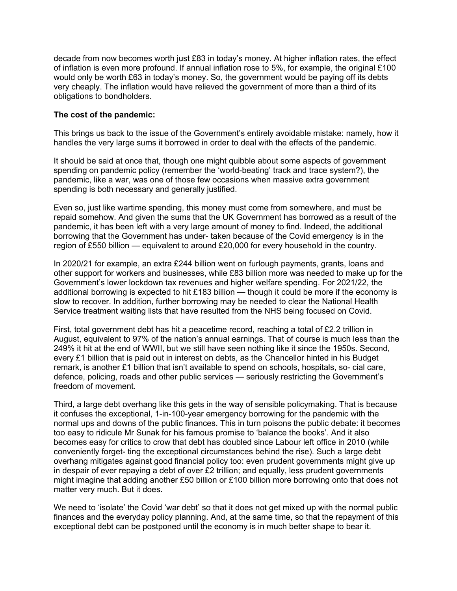decade from now becomes worth just £83 in today's money. At higher inflation rates, the effect of inflation is even more profound. If annual inflation rose to 5%, for example, the original £100 would only be worth £63 in today's money. So, the government would be paying off its debts very cheaply. The inflation would have relieved the government of more than a third of its obligations to bondholders.

#### **The cost of the pandemic:**

This brings us back to the issue of the Government's entirely avoidable mistake: namely, how it handles the very large sums it borrowed in order to deal with the effects of the pandemic.

It should be said at once that, though one might quibble about some aspects of government spending on pandemic policy (remember the 'world-beating' track and trace system?), the pandemic, like a war, was one of those few occasions when massive extra government spending is both necessary and generally justified.

Even so, just like wartime spending, this money must come from somewhere, and must be repaid somehow. And given the sums that the UK Government has borrowed as a result of the pandemic, it has been left with a very large amount of money to find. Indeed, the additional borrowing that the Government has under- taken because of the Covid emergency is in the region of £550 billion — equivalent to around £20,000 for every household in the country.

In 2020/21 for example, an extra £244 billion went on furlough payments, grants, loans and other support for workers and businesses, while £83 billion more was needed to make up for the Government's lower lockdown tax revenues and higher welfare spending. For 2021/22, the additional borrowing is expected to hit £183 billion — though it could be more if the economy is slow to recover. In addition, further borrowing may be needed to clear the National Health Service treatment waiting lists that have resulted from the NHS being focused on Covid.

First, total government debt has hit a peacetime record, reaching a total of £2.2 trillion in August, equivalent to 97% of the nation's annual earnings. That of course is much less than the 249% it hit at the end of WWII, but we still have seen nothing like it since the 1950s. Second, every £1 billion that is paid out in interest on debts, as the Chancellor hinted in his Budget remark, is another £1 billion that isn't available to spend on schools, hospitals, so- cial care, defence, policing, roads and other public services — seriously restricting the Government's freedom of movement.

Third, a large debt overhang like this gets in the way of sensible policymaking. That is because it confuses the exceptional, 1-in-100-year emergency borrowing for the pandemic with the normal ups and downs of the public finances. This in turn poisons the public debate: it becomes too easy to ridicule Mr Sunak for his famous promise to 'balance the books'. And it also becomes easy for critics to crow that debt has doubled since Labour left office in 2010 (while conveniently forget- ting the exceptional circumstances behind the rise). Such a large debt overhang mitigates against good financial policy too: even prudent governments might give up in despair of ever repaying a debt of over £2 trillion; and equally, less prudent governments might imagine that adding another £50 billion or £100 billion more borrowing onto that does not matter very much. But it does.

We need to 'isolate' the Covid 'war debt' so that it does not get mixed up with the normal public finances and the everyday policy planning. And, at the same time, so that the repayment of this exceptional debt can be postponed until the economy is in much better shape to bear it.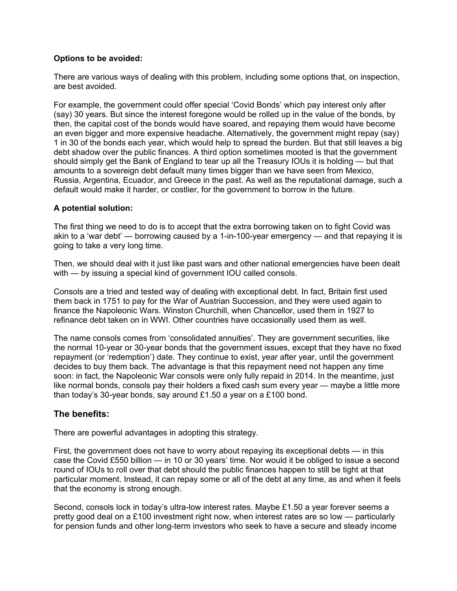#### **Options to be avoided:**

There are various ways of dealing with this problem, including some options that, on inspection, are best avoided.

For example, the government could offer special 'Covid Bonds' which pay interest only after (say) 30 years. But since the interest foregone would be rolled up in the value of the bonds, by then, the capital cost of the bonds would have soared, and repaying them would have become an even bigger and more expensive headache. Alternatively, the government might repay (say) 1 in 30 of the bonds each year, which would help to spread the burden. But that still leaves a big debt shadow over the public finances. A third option sometimes mooted is that the government should simply get the Bank of England to tear up all the Treasury IOUs it is holding — but that amounts to a sovereign debt default many times bigger than we have seen from Mexico, Russia, Argentina, Ecuador, and Greece in the past. As well as the reputational damage, such a default would make it harder, or costlier, for the government to borrow in the future.

#### **A potential solution:**

The first thing we need to do is to accept that the extra borrowing taken on to fight Covid was akin to a 'war debt' — borrowing caused by a 1-in-100-year emergency — and that repaying it is going to take a very long time.

Then, we should deal with it just like past wars and other national emergencies have been dealt with — by issuing a special kind of government IOU called consols.

Consols are a tried and tested way of dealing with exceptional debt. In fact, Britain first used them back in 1751 to pay for the War of Austrian Succession, and they were used again to finance the Napoleonic Wars. Winston Churchill, when Chancellor, used them in 1927 to refinance debt taken on in WWI. Other countries have occasionally used them as well.

The name consols comes from 'consolidated annuities'. They are government securities, like the normal 10-year or 30-year bonds that the government issues, except that they have no fixed repayment (or 'redemption') date. They continue to exist, year after year, until the government decides to buy them back. The advantage is that this repayment need not happen any time soon: in fact, the Napoleonic War consols were only fully repaid in 2014. In the meantime, just like normal bonds, consols pay their holders a fixed cash sum every year — maybe a little more than today's 30-year bonds, say around £1.50 a year on a £100 bond.

#### **The benefits:**

There are powerful advantages in adopting this strategy.

First, the government does not have to worry about repaying its exceptional debts — in this case the Covid £550 billion — in 10 or 30 years' time. Nor would it be obliged to issue a second round of IOUs to roll over that debt should the public finances happen to still be tight at that particular moment. Instead, it can repay some or all of the debt at any time, as and when it feels that the economy is strong enough.

Second, consols lock in today's ultra-low interest rates. Maybe £1.50 a year forever seems a pretty good deal on a £100 investment right now, when interest rates are so low — particularly for pension funds and other long-term investors who seek to have a secure and steady income